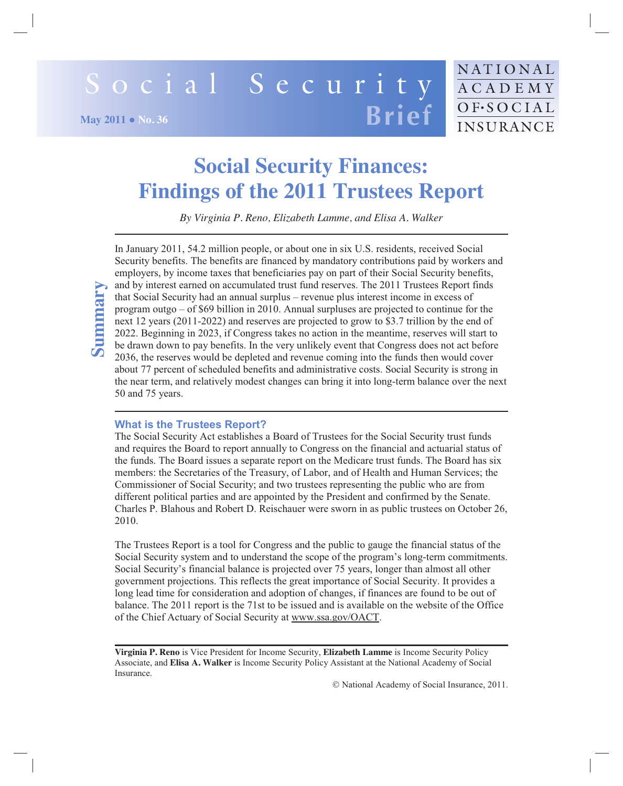# Social Security **Brief May 2011 • No. 36**

# **Social Security Finances: Findings of the 2011 Trustees Report**

*By Virginia P. Reno, Elizabeth Lamme, and Elisa A. Walker* 

In January 2011, 54.2 million people, or about one in six U.S. residents, received Social Security benefits. The benefits are financed by mandatory contributions paid by workers and employers, by income taxes that beneficiaries pay on part of their Social Security benefits, and by interest earned on accumulated trust fund reserves. The 2011 Trustees Report finds that Social Security had an annual surplus – revenue plus interest income in excess of program outgo  $-$  of \$69 billion in 2010. Annual surpluses are projected to continue for the next 12 years (2011-2022) and reserves are projected to grow to \$3.7 trillion by the end of 2022. Beginning in 2023, if Congress takes no action in the meantime, reserves will start to be drawn down to pay benefits. In the very unlikely event that Congress does not act before 2036, the reserves would be depleted and revenue coming into the funds then would cover about 77 percent of scheduled benefits and administrative costs. Social Security is strong in the near term, and relatively modest changes can bring it into long-term balance over the next 50 and 75 years.

# **What is the Trustees Report?**

**Summary**

The Social Security Act establishes a Board of Trustees for the Social Security trust funds and requires the Board to report annually to Congress on the financial and actuarial status of the funds. The Board issues a separate report on the Medicare trust funds. The Board has six members: the Secretaries of the Treasury, of Labor, and of Health and Human Services; the Commissioner of Social Security; and two trustees representing the public who are from different political parties and are appointed by the President and confirmed by the Senate. Charles P. Blahous and Robert D. Reischauer were sworn in as public trustees on October 26, 2010

The Trustees Report is a tool for Congress and the public to gauge the financial status of the Social Security system and to understand the scope of the program's long-term commitments. Social Security's financial balance is projected over 75 years, longer than almost all other government projections. This reflects the great importance of Social Security. It provides a long lead time for consideration and adoption of changes, if finances are found to be out of balance. The 2011 report is the 71st to be issued and is available on the website of the Office of the Chief Actuary of Social Security at www.ssa.gov/OACT.

**Virginia P. Reno** is Vice President for Income Security, **Elizabeth Lamme** is Income Security Policy Associate, and Elisa A. Walker is Income Security Policy Assistant at the National Academy of Social Insurance.

© National Academy of Social Insurance, 2011.

NATIONAL

ACADEMY

OF·SOCIAL INSURANCE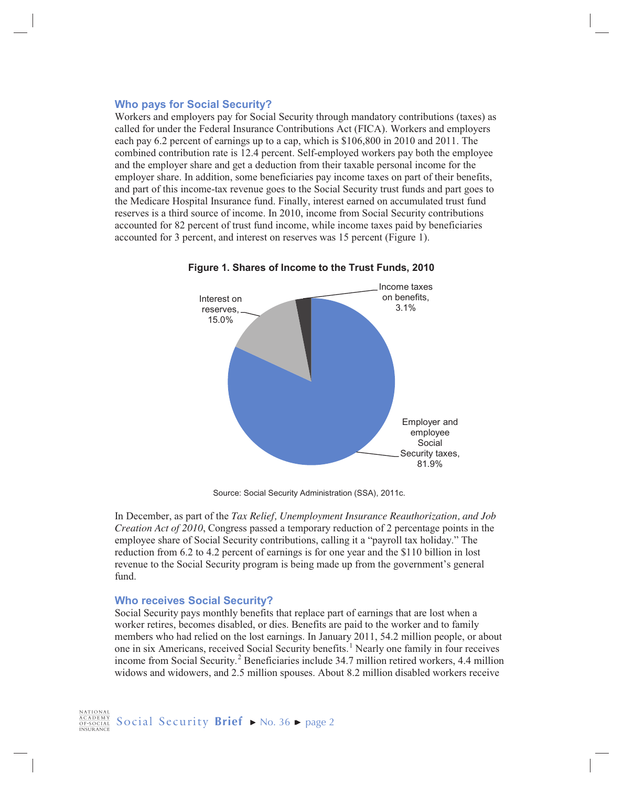# **Who pays for Social Security?**

Workers and employers pay for Social Security through mandatory contributions (taxes) as called for under the Federal Insurance Contributions Act (FICA). Workers and employers each pay 6.2 percent of earnings up to a cap, which is \$106,800 in 2010 and 2011. The combined contribution rate is 12.4 percent. Self-employed workers pay both the employee and the employer share and get a deduction from their taxable personal income for the employer share. In addition, some beneficiaries pay income taxes on part of their benefits, and part of this income-tax revenue goes to the Social Security trust funds and part goes to the Medicare Hospital Insurance fund. Finally, interest earned on accumulated trust fund reserves is a third source of income. In 2010, income from Social Security contributions accounted for 82 percent of trust fund income, while income taxes paid by beneficiaries accounted for 3 percent, and interest on reserves was 15 percent (Figure 1).



Figure 1. Shares of Income to the Trust Funds, 2010

Source: Social Security Administration (SSA), 2011c.

In December, as part of the Tax Relief, Unemployment Insurance Reauthorization, and Job *Creation Act of 2010*, Congress passed a temporary reduction of 2 percentage points in the employee share of Social Security contributions, calling it a "payroll tax holiday." The reduction from 6.2 to 4.2 percent of earnings is for one year and the \$110 billion in lost revenue to the Social Security program is being made up from the government's general fund.

# **Who receives Social Security?**

Social Security pays monthly benefits that replace part of earnings that are lost when a worker retires, becomes disabled, or dies. Benefits are paid to the worker and to family members who had relied on the lost earnings. In January 2011, 54.2 million people, or about one in six Americans, received Social Security benefits.<sup>1</sup> Nearly one family in four receives income from Social Security.<sup>2</sup> Beneficiaries include 34.7 million retired workers, 4.4 million widows and widowers, and 2.5 million spouses. About 8.2 million disabled workers receive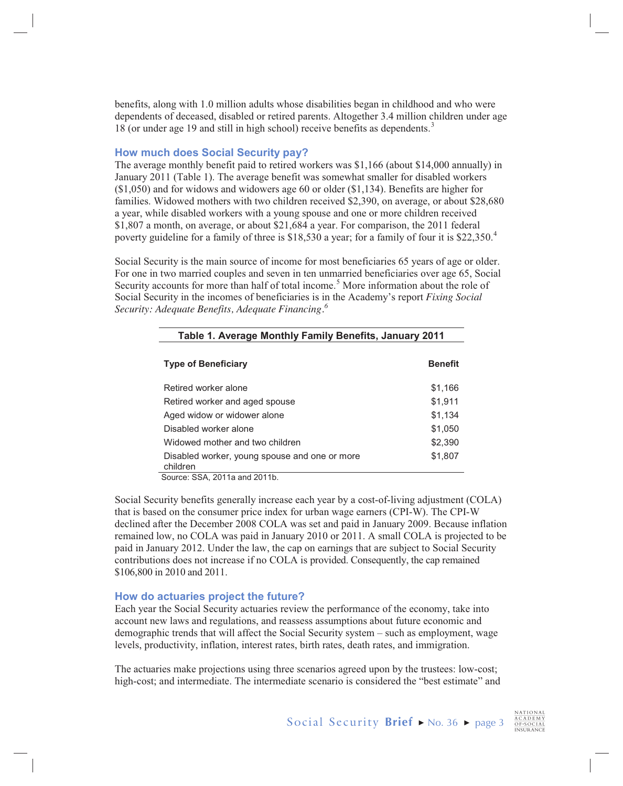benefits, along with 1.0 million adults whose disabilities began in childhood and who were dependents of deceased, disabled or retired parents. Altogether 3.4 million children under age 18 (or under age 19 and still in high school) receive benefits as dependents.<sup>3</sup>

# **How much does Social Security pay?**

The average monthly benefit paid to retired workers was  $\frac{$1,166}{[4,000 \text{ annually}]$  in January 2011 (Table 1). The average benefit was somewhat smaller for disabled workers  $($1,050)$  and for widows and widowers age 60 or older  $($1,134)$ . Benefits are higher for families. Widowed mothers with two children received \$2,390, on average, or about \$28,680 a year, while disabled workers with a young spouse and one or more children received \$1,807 a month, on average, or about \$21,684 a year. For comparison, the 2011 federal poverty guideline for a family of three is \$18,530 a year; for a family of four it is \$22,350.<sup>4</sup>

Social Security is the main source of income for most beneficiaries 65 years of age or older. For one in two married couples and seven in ten unmarried beneficiaries over age 65, Social Security accounts for more than half of total income.<sup>5</sup> More information about the role of Social Security in the incomes of beneficiaries is in the Academy's report Fixing Social Security: Adequate Benefits, Adequate Financing.<sup>6</sup>

| Table 1. Average Monthly Family Benefits, January 2011         |                |
|----------------------------------------------------------------|----------------|
| <b>Type of Beneficiary</b>                                     | <b>Benefit</b> |
| Retired worker alone                                           | \$1,166        |
| Retired worker and aged spouse                                 | \$1,911        |
| Aged widow or widower alone                                    | \$1,134        |
| Disabled worker alone                                          | \$1,050        |
| Widowed mother and two children                                | \$2,390        |
| Disabled worker, young spouse and one or more<br>children<br>. | \$1,807        |

Source: SSA, 2011a and 2011b.

Social Security benefits generally increase each year by a cost-of-living adjustment (COLA) that is based on the consumer price index for urban wage earners (CPI-W). The CPI-W declined after the December 2008 COLA was set and paid in January 2009. Because inflation remained low, no COLA was paid in January 2010 or 2011. A small COLA is projected to be paid in January 2012. Under the law, the cap on earnings that are subject to Social Security contributions does not increase if no COLA is provided. Consequently, the cap remained \$106,800 in 2010 and 2011.

# How do actuaries project the future?

Each year the Social Security actuaries review the performance of the economy, take into account new laws and regulations, and reassess assumptions about future economic and demographic trends that will affect the Social Security system – such as employment, wage levels, productivity, inflation, interest rates, birth rates, death rates, and immigration.

The actuaries make projections using three scenarios agreed upon by the trustees: low-cost; high-cost; and intermediate. The intermediate scenario is considered the "best estimate" and

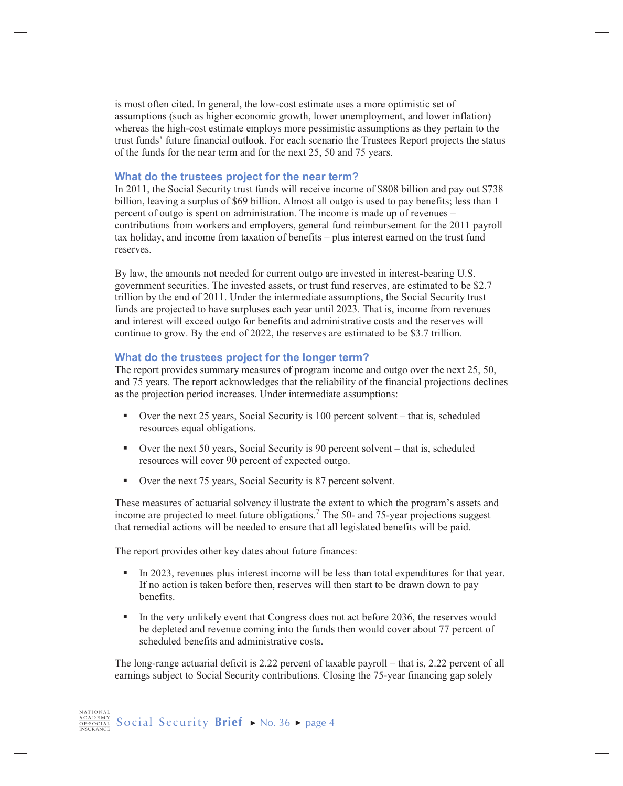is most often cited. In general, the low-cost estimate uses a more optimistic set of assumptions (such as higher economic growth, lower unemployment, and lower inflation) whereas the high-cost estimate employs more pessimistic assumptions as they pertain to the trust funds' future financial outlook. For each scenario the Trustees Report projects the status of the funds for the near term and for the next 25, 50 and 75 years.

# What do the trustees project for the near term?

In 2011, the Social Security trust funds will receive income of \$808 billion and pay out \$738 billion, leaving a surplus of \$69 billion. Almost all outgo is used to pay benefits; less than 1 percent of outgo is spent on administration. The income is made up of revenues – contributions from workers and employers, general fund reimbursement for the 2011 payroll tax holiday, and income from taxation of benefits - plus interest earned on the trust fund reserves.

By law, the amounts not needed for current outgo are invested in interest-bearing U.S. government securities. The invested assets, or trust fund reserves, are estimated to be \$2.7 trillion by the end of 2011. Under the intermediate assumptions, the Social Security trust funds are projected to have surpluses each year until 2023. That is, income from revenues and interest will exceed outgo for benefits and administrative costs and the reserves will continue to grow. By the end of 2022, the reserves are estimated to be \$3.7 trillion.

# What do the trustees project for the longer term?

The report provides summary measures of program income and outgo over the next 25, 50, and 75 years. The report acknowledges that the reliability of the financial projections declines as the projection period increases. Under intermediate assumptions:

- Over the next 25 years, Social Security is 100 percent solvent that is, scheduled resources equal obligations.
- Over the next 50 years, Social Security is 90 percent solvent  $-$  that is, scheduled resources will cover 90 percent of expected outgo.
- Over the next 75 years, Social Security is 87 percent solvent. ٠.

These measures of actuarial solvency illustrate the extent to which the program's assets and income are projected to meet future obligations.<sup>7</sup> The 50- and 75-year projections suggest that remedial actions will be needed to ensure that all legislated benefits will be paid.

The report provides other key dates about future finances:

- In 2023, revenues plus interest income will be less than total expenditures for that year. If no action is taken before then, reserves will then start to be drawn down to pay benefits.
- In the very unlikely event that Congress does not act before 2036, the reserves would  $\mathbf{u}$  . be depleted and revenue coming into the funds then would cover about 77 percent of scheduled benefits and administrative costs

The long-range actuarial deficit is 2.22 percent of taxable payroll – that is, 2.22 percent of all earnings subject to Social Security contributions. Closing the 75-year financing gap solely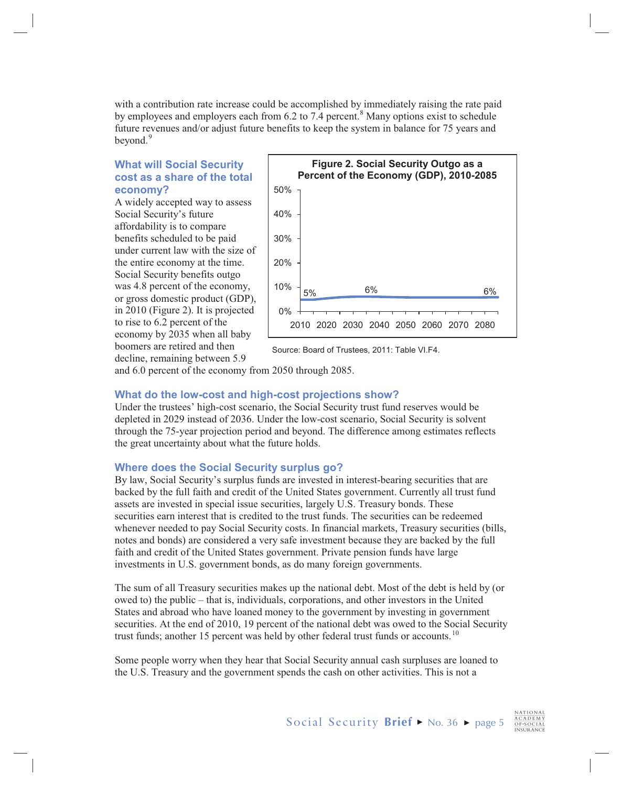with a contribution rate increase could be accomplished by immediately raising the rate paid by employees and employers each from 6.2 to 7.4 percent.<sup>8</sup> Many options exist to schedule future revenues and/or adjust future benefits to keep the system in balance for 75 years and bevond. $9$ 

# **What will Social Security cost as a share of the total economy?**

A widely accepted way to assess Social Security's future affordability is to compare benefits scheduled to be paid under current law with the size of the entire economy at the time. Social Security benefits outgo was 4.8 percent of the economy, or gross domestic product (GDP), in  $2010$  (Figure 2). It is projected to rise to  $6.2$  percent of the economy by 2035 when all baby boomers are retired and then decline, remaining between 5.9



Source: Board of Trustees, 2011: Table VI.F4.

and  $6.0$  percent of the economy from  $2050$  through  $2085$ .

# **What do the low-cost and high-cost projections show?**

Under the trustees' high-cost scenario, the Social Security trust fund reserves would be depleted in 2029 instead of 2036. Under the low-cost scenario, Social Security is solvent through the 75-year projection period and beyond. The difference among estimates reflects the great uncertainty about what the future holds.

# **Where does the Social Security surplus go?**

By law, Social Security's surplus funds are invested in interest-bearing securities that are backed by the full faith and credit of the United States government. Currently all trust fund assets are invested in special issue securities, largely U.S. Treasury bonds. These securities earn interest that is credited to the trust funds. The securities can be redeemed whenever needed to pay Social Security costs. In financial markets, Treasury securities (bills, notes and bonds) are considered a very safe investment because they are backed by the full faith and credit of the United States government. Private pension funds have large investments in U.S. government bonds, as do many foreign governments.

The sum of all Treasury securities makes up the national debt. Most of the debt is held by (or owed to) the public – that is, individuals, corporations, and other investors in the United States and abroad who have loaned money to the government by investing in government securities. At the end of 2010, 19 percent of the national debt was owed to the Social Security trust funds; another 15 percent was held by other federal trust funds or accounts.<sup>10</sup>

Some people worry when they hear that Social Security annual cash surpluses are loaned to the U.S. Treasury and the government spends the cash on other activities. This is not a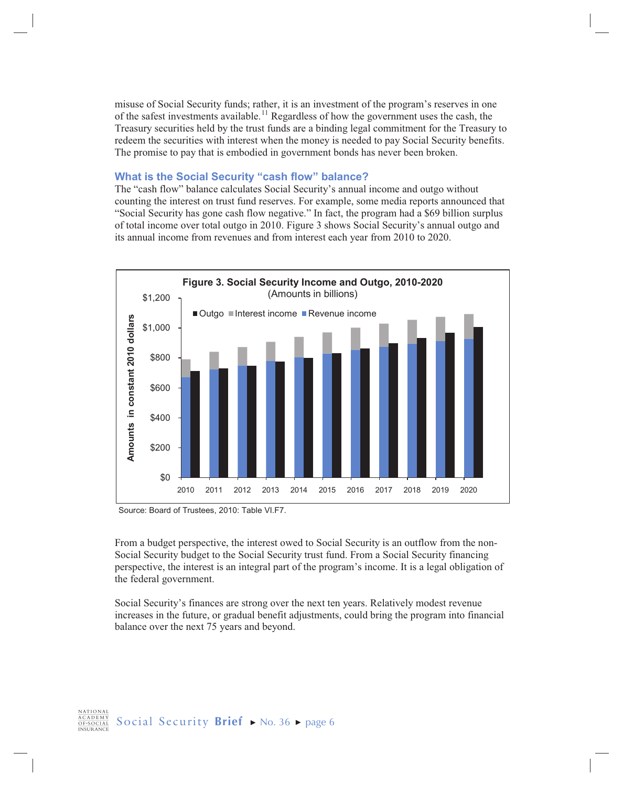misuse of Social Security funds; rather, it is an investment of the program's reserves in one of the safest investments available.<sup>11</sup> Regardless of how the government uses the cash, the Treasury securities held by the trust funds are a binding legal commitment for the Treasury to redeem the securities with interest when the money is needed to pay Social Security benefits. The promise to pay that is embodied in government bonds has never been broken.

#### What is the Social Security "cash flow" balance?

The "cash flow" balance calculates Social Security's annual income and outgo without counting the interest on trust fund reserves. For example, some media reports announced that "Social Security has gone cash flow negative." In fact, the program had a \$69 billion surplus of total income over total outgo in 2010. Figure 3 shows Social Security's annual outgo and its annual income from revenues and from interest each year from 2010 to 2020.



Source: Board of Trustees, 2010: Table VI.F7.

From a budget perspective, the interest owed to Social Security is an outflow from the non-Social Security budget to the Social Security trust fund. From a Social Security financing perspective, the interest is an integral part of the program's income. It is a legal obligation of the federal government.

Social Security's finances are strong over the next ten years. Relatively modest revenue increases in the future, or gradual benefit adjustments, could bring the program into financial balance over the next 75 years and beyond.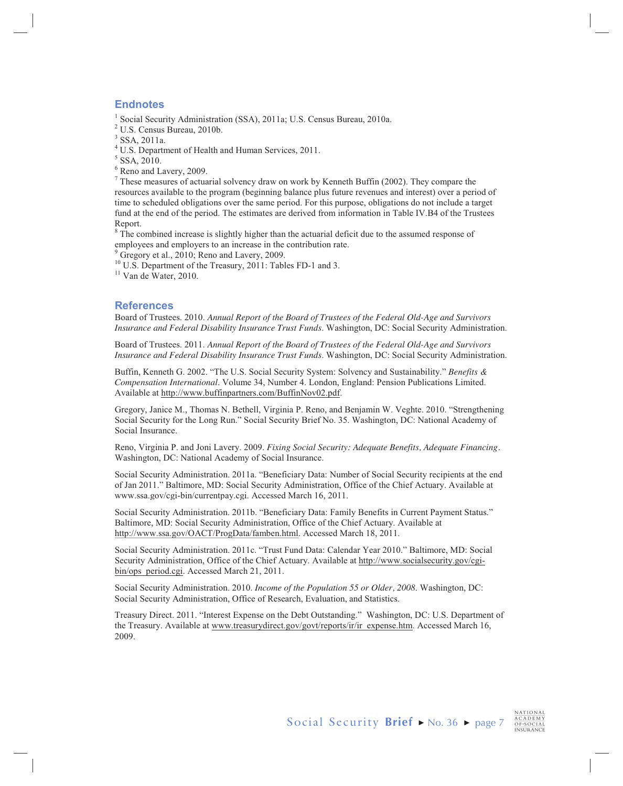# **Endnotes**

<sup>1</sup> Social Security Administration (SSA), 2011a; U.S. Census Bureau, 2010a.

<sup>2</sup> U.S. Census Bureau, 2010b.

 $3$  SSA, 2011a.

<sup>4</sup> U.S. Department of Health and Human Services, 2011.

 $5$  SSA, 2010.

 $<sup>6</sup>$  Reno and Lavery, 2009.</sup>

 $7$  These measures of actuarial solvency draw on work by Kenneth Buffin (2002). They compare the resources available to the program (beginning balance plus future revenues and interest) over a period of time to scheduled obligations over the same period. For this purpose, obligations do not include a target fund at the end of the period. The estimates are derived from information in Table IV.B4 of the Trustees Report.

 $8$  The combined increase is slightly higher than the actuarial deficit due to the assumed response of employees and employers to an increase in the contribution rate.

 $9^9$  Gregory et al., 2010; Reno and Lavery, 2009.

 $10$  U.S. Department of the Treasury, 2011: Tables FD-1 and 3.

 $11$  Van de Water, 2010.

# **References**

Board of Trustees. 2010. Annual Report of the Board of Trustees of the Federal Old-Age and Survivors Insurance and Federal Disability Insurance Trust Funds. Washington, DC: Social Security Administration.

Board of Trustees. 2011. Annual Report of the Board of Trustees of the Federal Old-Age and Survivors Insurance and Federal Disability Insurance Trust Funds. Washington, DC: Social Security Administration.

Buffin, Kenneth G. 2002. "The U.S. Social Security System: Solvency and Sustainability." Benefits & Compensation International. Volume 34, Number 4. London, England: Pension Publications Limited. Available at http://www.buffinpartners.com/BuffinNov02.pdf.

Gregory, Janice M., Thomas N. Bethell, Virginia P. Reno, and Benjamin W. Veghte. 2010. "Strengthening Social Security for the Long Run." Social Security Brief No. 35. Washington, DC: National Academy of Social Insurance.

Reno, Virginia P. and Joni Lavery. 2009. Fixing Social Security: Adequate Benefits, Adequate Financing. Washington, DC: National Academy of Social Insurance.

Social Security Administration. 2011a. "Beneficiary Data: Number of Social Security recipients at the end of Jan 2011." Baltimore, MD: Social Security Administration, Office of the Chief Actuary. Available at www.ssa.gov/cgi-bin/currentpay.cgi. Accessed March 16, 2011.

Social Security Administration. 2011b. "Beneficiary Data: Family Benefits in Current Payment Status." Baltimore, MD: Social Security Administration, Office of the Chief Actuary. Available at http://www.ssa.gov/OACT/ProgData/famben.html. Accessed March 18, 2011.

Social Security Administration. 2011c. "Trust Fund Data: Calendar Year 2010." Baltimore, MD: Social Security Administration, Office of the Chief Actuary. Available at http://www.socialsecurity.gov/cgibin/ops period.cgi. Accessed March 21, 2011.

Social Security Administration. 2010. Income of the Population 55 or Older, 2008. Washington, DC: Social Security Administration, Office of Research, Evaluation, and Statistics.

Treasury Direct. 2011. "Interest Expense on the Debt Outstanding." Washington, DC: U.S. Department of the Treasury. Available at www.treasurydirect.gov/govt/reports/ir/ir expense.htm. Accessed March 16, 2009.